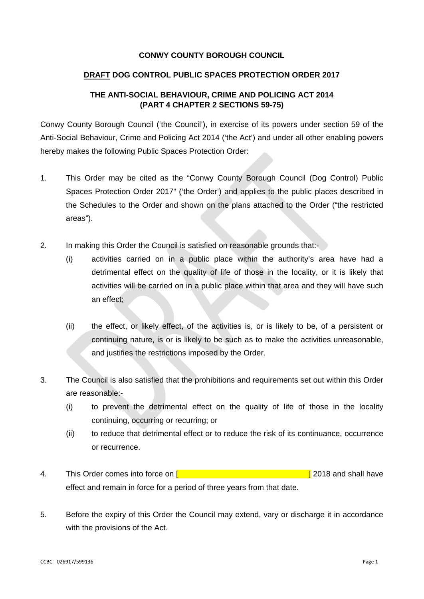### **CONWY COUNTY BOROUGH COUNCIL**

### **DRAFT DOG CONTROL PUBLIC SPACES PROTECTION ORDER 2017**

## **THE ANTI-SOCIAL BEHAVIOUR, CRIME AND POLICING ACT 2014 (PART 4 CHAPTER 2 SECTIONS 59-75)**

Conwy County Borough Council ('the Council'), in exercise of its powers under section 59 of the Anti-Social Behaviour, Crime and Policing Act 2014 ('the Act') and under all other enabling powers hereby makes the following Public Spaces Protection Order:

- 1. This Order may be cited as the "Conwy County Borough Council (Dog Control) Public Spaces Protection Order 2017" ('the Order') and applies to the public places described in the Schedules to the Order and shown on the plans attached to the Order ("the restricted areas").
- 2. In making this Order the Council is satisfied on reasonable grounds that:-
	- (i) activities carried on in a public place within the authority's area have had a detrimental effect on the quality of life of those in the locality, or it is likely that activities will be carried on in a public place within that area and they will have such an effect;
	- (ii) the effect, or likely effect, of the activities is, or is likely to be, of a persistent or continuing nature, is or is likely to be such as to make the activities unreasonable, and justifies the restrictions imposed by the Order.
- 3. The Council is also satisfied that the prohibitions and requirements set out within this Order are reasonable:-
	- (i) to prevent the detrimental effect on the quality of life of those in the locality continuing, occurring or recurring; or
	- (ii) to reduce that detrimental effect or to reduce the risk of its continuance, occurrence or recurrence.
- 4. This Order comes into force on **[ b i 1 a a a l 2018** and shall have effect and remain in force for a period of three years from that date.
- 5. Before the expiry of this Order the Council may extend, vary or discharge it in accordance with the provisions of the Act.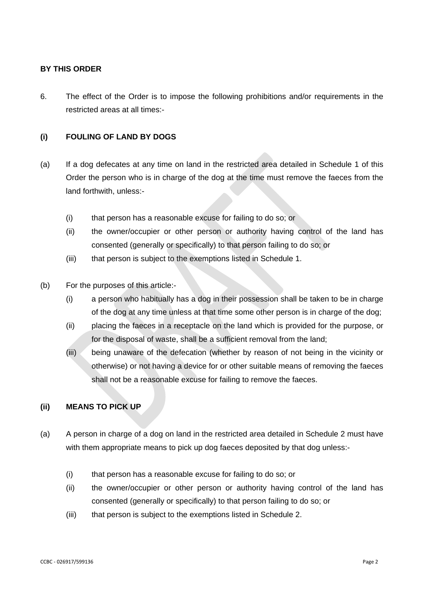### **BY THIS ORDER**

6. The effect of the Order is to impose the following prohibitions and/or requirements in the restricted areas at all times:-

## **(i) FOULING OF LAND BY DOGS**

- (a) If a dog defecates at any time on land in the restricted area detailed in Schedule 1 of this Order the person who is in charge of the dog at the time must remove the faeces from the land forthwith, unless:-
	- (i) that person has a reasonable excuse for failing to do so; or
	- (ii) the owner/occupier or other person or authority having control of the land has consented (generally or specifically) to that person failing to do so; or
	- (iii) that person is subject to the exemptions listed in Schedule 1.
- (b) For the purposes of this article:-
	- (i) a person who habitually has a dog in their possession shall be taken to be in charge of the dog at any time unless at that time some other person is in charge of the dog;
	- (ii) placing the faeces in a receptacle on the land which is provided for the purpose, or for the disposal of waste, shall be a sufficient removal from the land;
	- (iii) being unaware of the defecation (whether by reason of not being in the vicinity or otherwise) or not having a device for or other suitable means of removing the faeces shall not be a reasonable excuse for failing to remove the faeces.

#### **(ii) MEANS TO PICK UP**

- (a) A person in charge of a dog on land in the restricted area detailed in Schedule 2 must have with them appropriate means to pick up dog faeces deposited by that dog unless:-
	- (i) that person has a reasonable excuse for failing to do so; or
	- (ii) the owner/occupier or other person or authority having control of the land has consented (generally or specifically) to that person failing to do so; or
	- (iii) that person is subject to the exemptions listed in Schedule 2.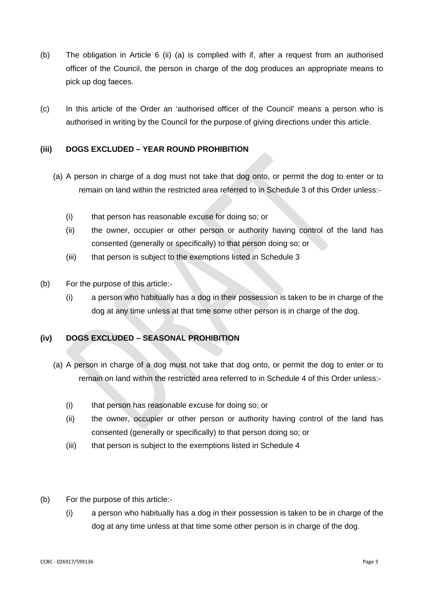- (b) The obligation in Article 6 (ii) (a) is complied with if, after a request from an authorised officer of the Council, the person in charge of the dog produces an appropriate means to pick up dog faeces.
- (c) In this article of the Order an 'authorised officer of the Council' means a person who is authorised in writing by the Council for the purpose of giving directions under this article.

## **(iii) DOGS EXCLUDED – YEAR ROUND PROHIBITION**

- (a) A person in charge of a dog must not take that dog onto, or permit the dog to enter or to remain on land within the restricted area referred to in Schedule 3 of this Order unless:-
	- (i) that person has reasonable excuse for doing so; or
	- (ii) the owner, occupier or other person or authority having control of the land has consented (generally or specifically) to that person doing so; or
	- (iii) that person is subject to the exemptions listed in Schedule 3
- (b) For the purpose of this article:-
	- (i) a person who habitually has a dog in their possession is taken to be in charge of the dog at any time unless at that time some other person is in charge of the dog.

## **(iv) DOGS EXCLUDED – SEASONAL PROHIBITION**

- (a) A person in charge of a dog must not take that dog onto, or permit the dog to enter or to remain on land within the restricted area referred to in Schedule 4 of this Order unless:-
	- (i) that person has reasonable excuse for doing so; or
	- (ii) the owner, occupier or other person or authority having control of the land has consented (generally or specifically) to that person doing so; or
	- (iii) that person is subject to the exemptions listed in Schedule 4
- (b) For the purpose of this article:-
	- (i) a person who habitually has a dog in their possession is taken to be in charge of the dog at any time unless at that time some other person is in charge of the dog.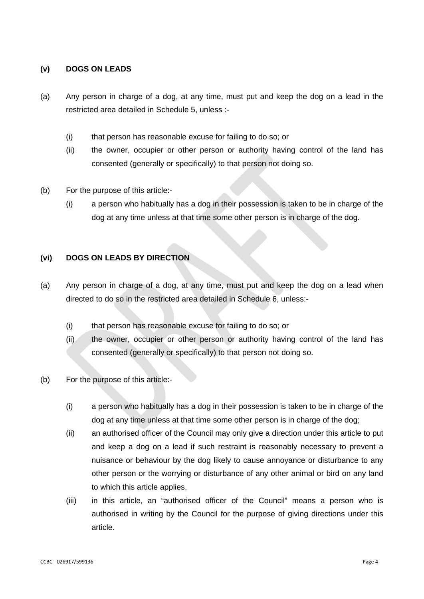### **(v) DOGS ON LEADS**

- (a) Any person in charge of a dog, at any time, must put and keep the dog on a lead in the restricted area detailed in Schedule 5, unless :-
	- (i) that person has reasonable excuse for failing to do so; or
	- (ii) the owner, occupier or other person or authority having control of the land has consented (generally or specifically) to that person not doing so.
- (b) For the purpose of this article:-
	- (i) a person who habitually has a dog in their possession is taken to be in charge of the dog at any time unless at that time some other person is in charge of the dog.

### **(vi) DOGS ON LEADS BY DIRECTION**

- (a) Any person in charge of a dog, at any time, must put and keep the dog on a lead when directed to do so in the restricted area detailed in Schedule 6, unless:-
	- (i) that person has reasonable excuse for failing to do so; or
	- (ii) the owner, occupier or other person or authority having control of the land has consented (generally or specifically) to that person not doing so.
- (b) For the purpose of this article:-
	- (i) a person who habitually has a dog in their possession is taken to be in charge of the dog at any time unless at that time some other person is in charge of the dog;
	- (ii) an authorised officer of the Council may only give a direction under this article to put and keep a dog on a lead if such restraint is reasonably necessary to prevent a nuisance or behaviour by the dog likely to cause annoyance or disturbance to any other person or the worrying or disturbance of any other animal or bird on any land to which this article applies.
	- (iii) in this article, an "authorised officer of the Council" means a person who is authorised in writing by the Council for the purpose of giving directions under this article.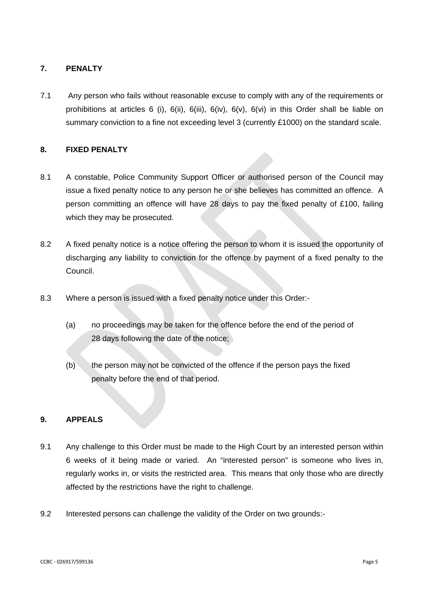## **7. PENALTY**

7.1 Any person who fails without reasonable excuse to comply with any of the requirements or prohibitions at articles 6 (i),  $6(ii)$ ,  $6(iii)$ ,  $6(iv)$ ,  $6(v)$ ,  $6(vi)$  in this Order shall be liable on summary conviction to a fine not exceeding level 3 (currently £1000) on the standard scale.

### **8. FIXED PENALTY**

- 8.1 A constable, Police Community Support Officer or authorised person of the Council may issue a fixed penalty notice to any person he or she believes has committed an offence. A person committing an offence will have 28 days to pay the fixed penalty of £100, failing which they may be prosecuted.
- 8.2 A fixed penalty notice is a notice offering the person to whom it is issued the opportunity of discharging any liability to conviction for the offence by payment of a fixed penalty to the Council.
- 8.3 Where a person is issued with a fixed penalty notice under this Order:-
	- (a) no proceedings may be taken for the offence before the end of the period of 28 days following the date of the notice;
	- (b) the person may not be convicted of the offence if the person pays the fixed penalty before the end of that period.

### **9. APPEALS**

- 9.1 Any challenge to this Order must be made to the High Court by an interested person within 6 weeks of it being made or varied. An "interested person" is someone who lives in, regularly works in, or visits the restricted area. This means that only those who are directly affected by the restrictions have the right to challenge.
- 9.2 Interested persons can challenge the validity of the Order on two grounds:-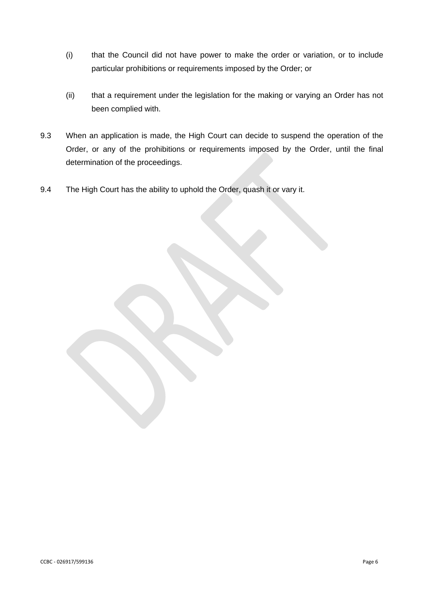- (i) that the Council did not have power to make the order or variation, or to include particular prohibitions or requirements imposed by the Order; or
- (ii) that a requirement under the legislation for the making or varying an Order has not been complied with.
- 9.3 When an application is made, the High Court can decide to suspend the operation of the Order, or any of the prohibitions or requirements imposed by the Order, until the final determination of the proceedings.
- 9.4 The High Court has the ability to uphold the Order, quash it or vary it.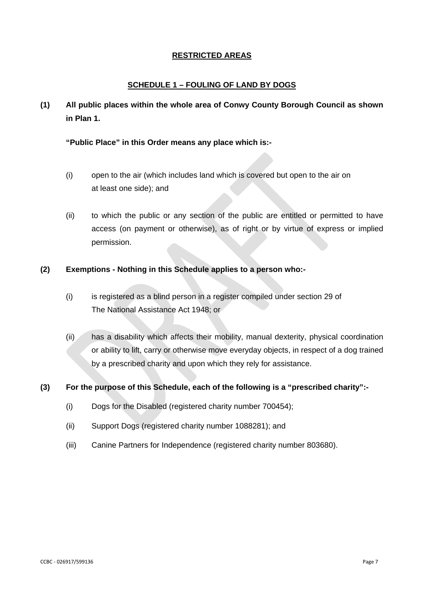## **RESTRICTED AREAS**

## **SCHEDULE 1 – FOULING OF LAND BY DOGS**

**(1) All public places within the whole area of Conwy County Borough Council as shown in Plan 1.**

### **"Public Place" in this Order means any place which is:-**

- (i) open to the air (which includes land which is covered but open to the air on at least one side); and
- (ii) to which the public or any section of the public are entitled or permitted to have access (on payment or otherwise), as of right or by virtue of express or implied permission.

## **(2) Exemptions - Nothing in this Schedule applies to a person who:-**

- (i) is registered as a blind person in a register compiled under section 29 of The National Assistance Act 1948; or
- (ii) has a disability which affects their mobility, manual dexterity, physical coordination or ability to lift, carry or otherwise move everyday objects, in respect of a dog trained by a prescribed charity and upon which they rely for assistance.

### **(3) For the purpose of this Schedule, each of the following is a "prescribed charity":-**

- (i) Dogs for the Disabled (registered charity number 700454);
- (ii) Support Dogs (registered charity number 1088281); and
- (iii) Canine Partners for Independence (registered charity number 803680).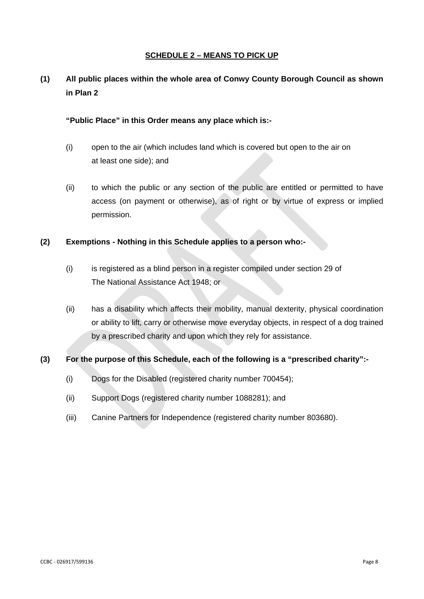### **SCHEDULE 2 – MEANS TO PICK UP**

# **(1) All public places within the whole area of Conwy County Borough Council as shown in Plan 2**

### **"Public Place" in this Order means any place which is:-**

- (i) open to the air (which includes land which is covered but open to the air on at least one side); and
- (ii) to which the public or any section of the public are entitled or permitted to have access (on payment or otherwise), as of right or by virtue of express or implied permission.

### **(2) Exemptions - Nothing in this Schedule applies to a person who:-**

- (i) is registered as a blind person in a register compiled under section 29 of The National Assistance Act 1948; or
- (ii) has a disability which affects their mobility, manual dexterity, physical coordination or ability to lift, carry or otherwise move everyday objects, in respect of a dog trained by a prescribed charity and upon which they rely for assistance.

## **(3) For the purpose of this Schedule, each of the following is a "prescribed charity":-**

- (i) Dogs for the Disabled (registered charity number 700454);
- (ii) Support Dogs (registered charity number 1088281); and
- (iii) Canine Partners for Independence (registered charity number 803680).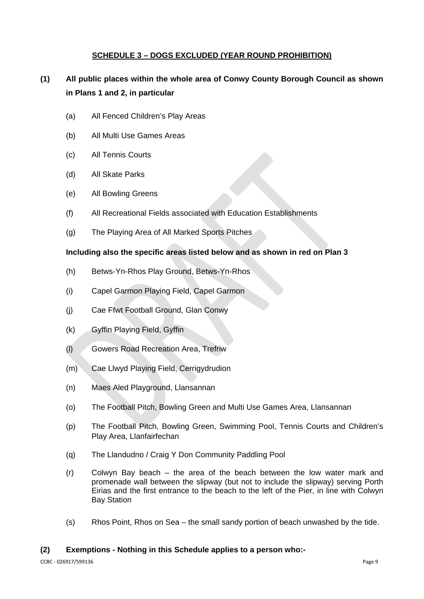## **SCHEDULE 3 – DOGS EXCLUDED (YEAR ROUND PROHIBITION)**

# **(1) All public places within the whole area of Conwy County Borough Council as shown in Plans 1 and 2, in particular**

- (a) All Fenced Children's Play Areas
- (b) All Multi Use Games Areas
- (c) All Tennis Courts
- (d) All Skate Parks
- (e) All Bowling Greens
- (f) All Recreational Fields associated with Education Establishments
- (g) The Playing Area of All Marked Sports Pitches

### **Including also the specific areas listed below and as shown in red on Plan 3**

- (h) Betws-Yn-Rhos Play Ground, Betws-Yn-Rhos
- (i) Capel Garmon Playing Field, Capel Garmon
- (j) Cae Ffwt Football Ground, Glan Conwy
- (k) Gyffin Playing Field, Gyffin
- (l) Gowers Road Recreation Area, Trefriw
- (m) Cae Llwyd Playing Field, Cerrigydrudion
- (n) Maes Aled Playground, Llansannan
- (o) The Football Pitch, Bowling Green and Multi Use Games Area, Llansannan
- (p) The Football Pitch, Bowling Green, Swimming Pool, Tennis Courts and Children's Play Area, Llanfairfechan
- (q) The Llandudno / Craig Y Don Community Paddling Pool
- (r) Colwyn Bay beach the area of the beach between the low water mark and promenade wall between the slipway (but not to include the slipway) serving Porth Eirias and the first entrance to the beach to the left of the Pier, in line with Colwyn Bay Station
- (s) Rhos Point, Rhos on Sea the small sandy portion of beach unwashed by the tide.

### **(2) Exemptions - Nothing in this Schedule applies to a person who:-**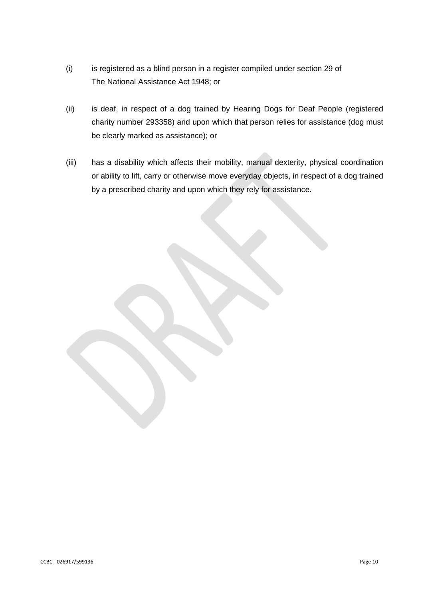- (i) is registered as a blind person in a register compiled under section 29 of The National Assistance Act 1948; or
- (ii) is deaf, in respect of a dog trained by Hearing Dogs for Deaf People (registered charity number 293358) and upon which that person relies for assistance (dog must be clearly marked as assistance); or
- (iii) has a disability which affects their mobility, manual dexterity, physical coordination or ability to lift, carry or otherwise move everyday objects, in respect of a dog trained by a prescribed charity and upon which they rely for assistance.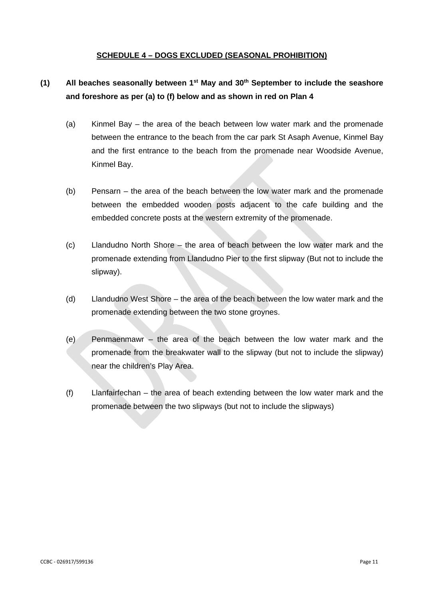### **SCHEDULE 4 – DOGS EXCLUDED (SEASONAL PROHIBITION)**

## **(1) All beaches seasonally between 1st May and 30th September to include the seashore and foreshore as per (a) to (f) below and as shown in red on Plan 4**

- (a) Kinmel Bay the area of the beach between low water mark and the promenade between the entrance to the beach from the car park St Asaph Avenue, Kinmel Bay and the first entrance to the beach from the promenade near Woodside Avenue, Kinmel Bay.
- (b) Pensarn the area of the beach between the low water mark and the promenade between the embedded wooden posts adjacent to the cafe building and the embedded concrete posts at the western extremity of the promenade.
- (c) Llandudno North Shore the area of beach between the low water mark and the promenade extending from Llandudno Pier to the first slipway (But not to include the slipway).
- (d) Llandudno West Shore the area of the beach between the low water mark and the promenade extending between the two stone groynes.
- (e) Penmaenmawr the area of the beach between the low water mark and the promenade from the breakwater wall to the slipway (but not to include the slipway) near the children's Play Area.
- (f) Llanfairfechan the area of beach extending between the low water mark and the promenade between the two slipways (but not to include the slipways)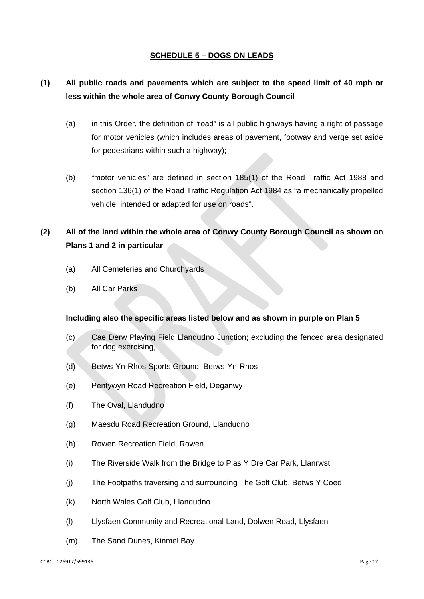### **SCHEDULE 5 – DOGS ON LEADS**

## **(1) All public roads and pavements which are subject to the speed limit of 40 mph or less within the whole area of Conwy County Borough Council**

- (a) in this Order, the definition of "road" is all public highways having a right of passage for motor vehicles (which includes areas of pavement, footway and verge set aside for pedestrians within such a highway);
- (b) "motor vehicles" are defined in section 185(1) of the Road Traffic Act 1988 and section 136(1) of the Road Traffic Regulation Act 1984 as "a mechanically propelled vehicle, intended or adapted for use on roads".

# **(2) All of the land within the whole area of Conwy County Borough Council as shown on Plans 1 and 2 in particular**

- (a) All Cemeteries and Churchyards
- (b) All Car Parks

### **Including also the specific areas listed below and as shown in purple on Plan 5**

- (c) Cae Derw Playing Field Llandudno Junction; excluding the fenced area designated for dog exercising,
- (d) Betws-Yn-Rhos Sports Ground, Betws-Yn-Rhos
- (e) Pentywyn Road Recreation Field, Deganwy
- (f) The Oval, Llandudno
- (g) Maesdu Road Recreation Ground, Llandudno
- (h) Rowen Recreation Field, Rowen
- (i) The Riverside Walk from the Bridge to Plas Y Dre Car Park, Llanrwst
- (j) The Footpaths traversing and surrounding The Golf Club, Betws Y Coed
- (k) North Wales Golf Club, Llandudno
- (l) Llysfaen Community and Recreational Land, Dolwen Road, Llysfaen
- (m) The Sand Dunes, Kinmel Bay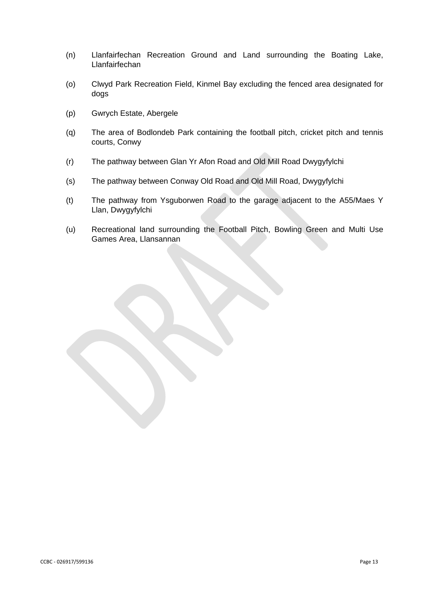- (n) Llanfairfechan Recreation Ground and Land surrounding the Boating Lake, Llanfairfechan
- (o) Clwyd Park Recreation Field, Kinmel Bay excluding the fenced area designated for dogs
- (p) Gwrych Estate, Abergele
- (q) The area of Bodlondeb Park containing the football pitch, cricket pitch and tennis courts, Conwy
- (r) The pathway between Glan Yr Afon Road and Old Mill Road Dwygyfylchi
- (s) The pathway between Conway Old Road and Old Mill Road, Dwygyfylchi
- (t) The pathway from Ysguborwen Road to the garage adjacent to the A55/Maes Y Llan, Dwygyfylchi
- (u) Recreational land surrounding the Football Pitch, Bowling Green and Multi Use Games Area, Llansannan